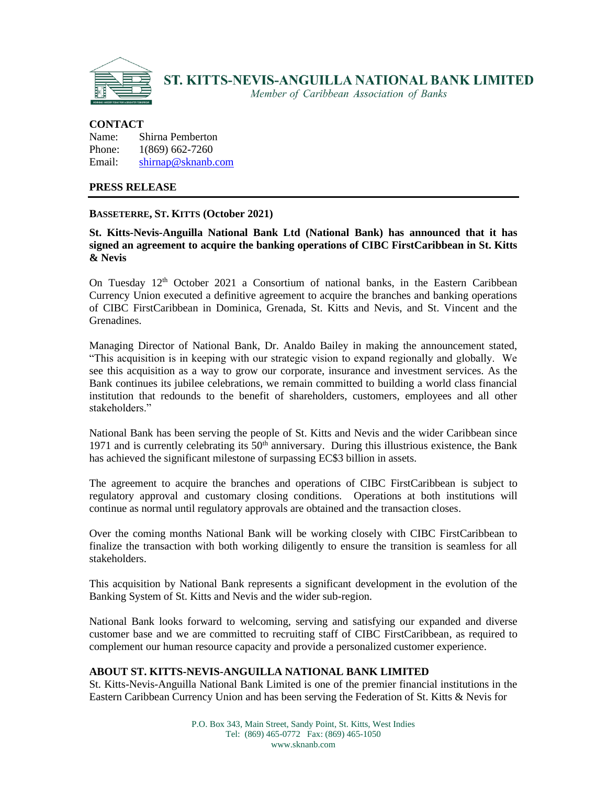

Member of Caribbean Association of Banks

### **CONTACT**

| Name:  | Shirna Pemberton   |
|--------|--------------------|
| Phone: | 1(869) 662-7260    |
| Email: | shirnap@sknanb.com |

### **PRESS RELEASE**

# **BASSETERRE, ST. KITTS (October 2021)**

# **St. Kitts-Nevis-Anguilla National Bank Ltd (National Bank) has announced that it has signed an agreement to acquire the banking operations of CIBC FirstCaribbean in St. Kitts & Nevis**

On Tuesday  $12<sup>th</sup>$  October 2021 a Consortium of national banks, in the Eastern Caribbean Currency Union executed a definitive agreement to acquire the branches and banking operations of CIBC FirstCaribbean in Dominica, Grenada, St. Kitts and Nevis, and St. Vincent and the Grenadines.

Managing Director of National Bank, Dr. Analdo Bailey in making the announcement stated, "This acquisition is in keeping with our strategic vision to expand regionally and globally. We see this acquisition as a way to grow our corporate, insurance and investment services. As the Bank continues its jubilee celebrations, we remain committed to building a world class financial institution that redounds to the benefit of shareholders, customers, employees and all other stakeholders."

National Bank has been serving the people of St. Kitts and Nevis and the wider Caribbean since 1971 and is currently celebrating its  $50<sup>th</sup>$  anniversary. During this illustrious existence, the Bank has achieved the significant milestone of surpassing EC\$3 billion in assets.

The agreement to acquire the branches and operations of CIBC FirstCaribbean is subject to regulatory approval and customary closing conditions. Operations at both institutions will continue as normal until regulatory approvals are obtained and the transaction closes.

Over the coming months National Bank will be working closely with CIBC FirstCaribbean to finalize the transaction with both working diligently to ensure the transition is seamless for all stakeholders.

This acquisition by National Bank represents a significant development in the evolution of the Banking System of St. Kitts and Nevis and the wider sub-region.

National Bank looks forward to welcoming, serving and satisfying our expanded and diverse customer base and we are committed to recruiting staff of CIBC FirstCaribbean, as required to complement our human resource capacity and provide a personalized customer experience.

# **ABOUT ST. KITTS-NEVIS-ANGUILLA NATIONAL BANK LIMITED**

St. Kitts-Nevis-Anguilla National Bank Limited is one of the premier financial institutions in the Eastern Caribbean Currency Union and has been serving the Federation of St. Kitts & Nevis for